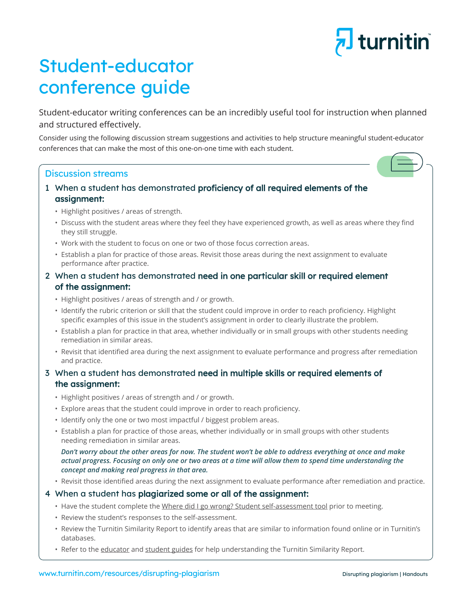# <mark>, J</mark> turnitin

# Student-educator conference guide

Student-educator writing conferences can be an incredibly useful tool for instruction when planned and structured effectively.

Consider using the following discussion stream suggestions and activities to help structure meaningful student-educator conferences that can make the most of this one-on-one time with each student.

# Discussion streams

- 1 When a student has demonstrated proficiency of all required elements of the assignment:
	- Highlight positives / areas of strength.
	- • Discuss with the student areas where they feel they have experienced growth, as well as areas where they find they still struggle.
	- Work with the student to focus on one or two of those focus correction areas.
	- Establish a plan for practice of those areas. Revisit those areas during the next assignment to evaluate performance after practice.

# 2 When a student has demonstrated need in one particular skill or required element of the assignment:

- Highlight positives / areas of strength and / or growth.
- • Identify the rubric criterion or skill that the student could improve in order to reach proficiency. Highlight specific examples of this issue in the student's assignment in order to clearly illustrate the problem.
- Establish a plan for practice in that area, whether individually or in small groups with other students needing remediation in similar areas.
- • Revisit that identified area during the next assignment to evaluate performance and progress after remediation and practice.

# 3 When a student has demonstrated need in multiple skills or required elements of the assignment:

- Highlight positives / areas of strength and / or growth.
- Explore areas that the student could improve in order to reach proficiency.
- Identify only the one or two most impactful / biggest problem areas.
- Establish a plan for practice of those areas, whether individually or in small groups with other students needing remediation in similar areas.

 *Don't worry about the other areas for now. The student won't be able to address everything at once and make actual progress. Focusing on only one or two areas at a time will allow them to spend time understanding the concept and making real progress in that area.*

 • Revisit those identified areas during the next assignment to evaluate performance after remediation and practice.

## 4 When a student has plagiarized some or all of the assignment:

- Have the student complete the [Where did I go wrong? Student self-assessment tool](https://www.turnitin.com/lessons/where-did-i-go-wrong-student-self-assessment-tool) prior to meeting.
- • Review the student's responses to the self-assessment.
- • Review the Turnitin Similarity Report to identify areas that are similar to information found online or in Turnitin's databases.
- Refer to the educator and [student guides](https://www.turnitin.com/papers/understanding-the-turnitin-similarity-report-student-guide) for help understanding the Turnitin Similarity Report.